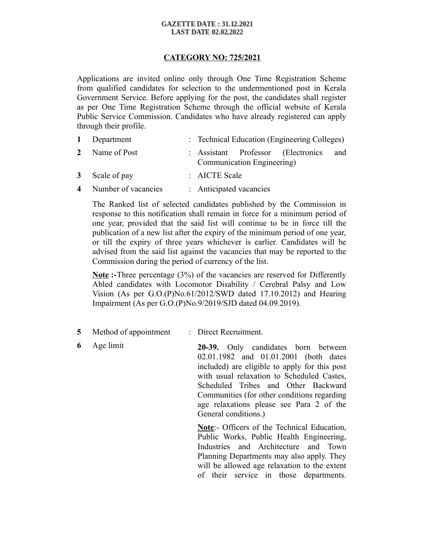## **GAZETTE DATE: 31.12.2021 LAST DATE 02.02.2022**

## **CATEGORY NO: 725/2021**

Applications are invited online only through One Time Registration Scheme from qualified candidates for selection to the undermentioned post in Kerala Government Service. Before applying for the post, the candidates shall register as per One Time Registration Scheme through the official website of Kerala Public Service Commission. Candidates who have already registered can apply through their profile.

| 1 Department          | : Technical Education (Engineering Colleges) |  |                                    |     |
|-----------------------|----------------------------------------------|--|------------------------------------|-----|
| 2 Name of Post        | Communication Engineering)                   |  | : Assistant Professor (Electronics | and |
| 3 Scale of pay        | $\therefore$ AICTE Scale                     |  |                                    |     |
| 4 Number of vacancies | : Anticipated vacancies                      |  |                                    |     |

The Ranked list of selected candidates published by the Commission in response to this notification shall remain in force for a minimum period of one year, provided that the said list will continue to be in force till the publication of a new list after the expiry of the minimum period of one year, or till the expiry of three years whichever is earlier. Candidates will be advised from the said list against the vacancies that may be reported to the Commission during the period of currency of the list.

**Note**:-Three percentage (3%) of the vacancies are reserved for Differently Abled candidates with Locomotor Disability / Cerebral Palsy and Low Vision (As per G.O.(P)No.61/2012/SWD dated 17.10.2012) and Hearing Impairment (As per G.O.(P)No.9/2019/SJD dated 04.09.2019).

- **5** Method of appointment : Direct Recruitment.
- 

**6** Age limit **20-39.** Only candidates born between 02.01.1982 and 01.01.2001 (both dates included) are eligible to apply for this post with usual relaxation to Scheduled Castes, Scheduled Tribes and Other Backward Communities (for other conditions regarding age relaxations please see Para 2 of the General conditions.)

> **Note**:- Officers of the Technical Education, Public Works, Public Health Engineering, Industries and Architecture and Town Planning Departments may also apply. They will be allowed age relaxation to the extent of their service in those departments.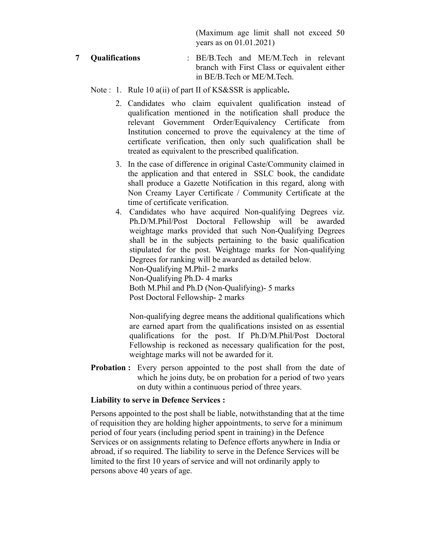(Maximum age limit shall not exceed 50 years as on 01.01.2021)

**7 Qualifications** : BE/B.Tech and ME/M.Tech in relevant branch with First Class or equivalent either in BE/B.Tech or ME/M.Tech.

Note : 1. Rule 10 a(ii) of part II of KS&SSR is applicable**.** 

- 2. Candidates who claim equivalent qualification instead of qualification mentioned in the notification shall produce the relevant Government Order/Equivalency Certificate from Institution concerned to prove the equivalency at the time of certificate verification, then only such qualification shall be treated as equivalent to the prescribed qualification.
- 3. In the case of difference in original Caste/Community claimed in the application and that entered in SSLC book, the candidate shall produce a Gazette Notification in this regard, along with Non Creamy Layer Certificate / Community Certificate at the time of certificate verification.
- 4. Candidates who have acquired Non-qualifying Degrees viz. Ph.D/M.Phil/Post Doctoral Fellowship will be awarded weightage marks provided that such Non-Qualifying Degrees shall be in the subjects pertaining to the basic qualification stipulated for the post. Weightage marks for Non-qualifying Degrees for ranking will be awarded as detailed below. Non-Qualifying M.Phil- 2 marks Non-Qualifying Ph.D- 4 marks Both M.Phil and Ph.D (Non-Qualifying)- 5 marks Post Doctoral Fellowship- 2 marks

Non-qualifying degree means the additional qualifications which are earned apart from the qualifications insisted on as essential qualifications for the post. If Ph.D/M.Phil/Post Doctoral Fellowship is reckoned as necessary qualification for the post, weightage marks will not be awarded for it.

**Probation :** Every person appointed to the post shall from the date of which he joins duty, be on probation for a period of two years on duty within a continuous period of three years.

## **Liability to serve in Defence Services :**

Persons appointed to the post shall be liable, notwithstanding that at the time of requisition they are holding higher appointments, to serve for a minimum period of four years (including period spent in training) in the Defence Services or on assignments relating to Defence efforts anywhere in India or abroad, if so required. The liability to serve in the Defence Services will be limited to the first 10 years of service and will not ordinarily apply to persons above 40 years of age.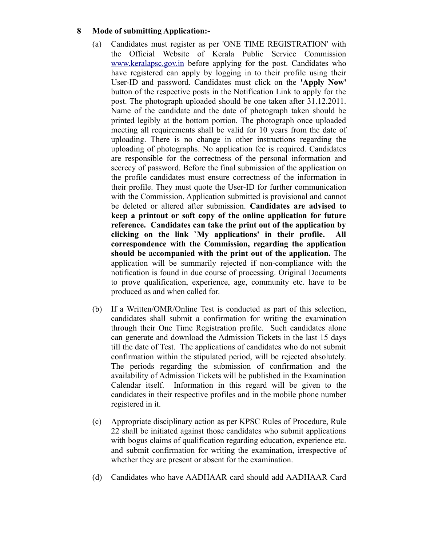## **8 Mode of submitting Application:-**

- (a) Candidates must register as per 'ONE TIME REGISTRATION' with the Official Website of Kerala Public Service Commission [www.keralapsc.gov.in](http://www.kerealapsc.gov.in/) before applying for the post. Candidates who have registered can apply by logging in to their profile using their User-ID and password. Candidates must click on the **'Apply Now'** button of the respective posts in the Notification Link to apply for the post. The photograph uploaded should be one taken after 31.12.2011. Name of the candidate and the date of photograph taken should be printed legibly at the bottom portion. The photograph once uploaded meeting all requirements shall be valid for 10 years from the date of uploading. There is no change in other instructions regarding the uploading of photographs. No application fee is required. Candidates are responsible for the correctness of the personal information and secrecy of password. Before the final submission of the application on the profile candidates must ensure correctness of the information in their profile. They must quote the User-ID for further communication with the Commission. Application submitted is provisional and cannot be deleted or altered after submission. **Candidates are advised to keep a printout or soft copy of the online application for future reference. Candidates can take the print out of the application by clicking on the link `My applications' in their profile. All correspondence with the Commission, regarding the application should be accompanied with the print out of the application.** The application will be summarily rejected if non-compliance with the notification is found in due course of processing. Original Documents to prove qualification, experience, age, community etc. have to be produced as and when called for.
- (b) If a Written/OMR/Online Test is conducted as part of this selection, candidates shall submit a confirmation for writing the examination through their One Time Registration profile. Such candidates alone can generate and download the Admission Tickets in the last 15 days till the date of Test. The applications of candidates who do not submit confirmation within the stipulated period, will be rejected absolutely. The periods regarding the submission of confirmation and the availability of Admission Tickets will be published in the Examination Calendar itself. Information in this regard will be given to the candidates in their respective profiles and in the mobile phone number registered in it.
- (c) Appropriate disciplinary action as per KPSC Rules of Procedure, Rule 22 shall be initiated against those candidates who submit applications with bogus claims of qualification regarding education, experience etc. and submit confirmation for writing the examination, irrespective of whether they are present or absent for the examination.
- (d) Candidates who have AADHAAR card should add AADHAAR Card